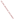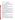# **Consumer Factsheet on: CYANIDE**

[List of Contaminants](http://www.epa.gov/safewater/hfacts.html) 

 As part of the Drinking Water and Health pages, this fact sheet is part of a larger publication: **National Primary Drinking Water Regulations** 

 States Environmental Protection Agency (EPA). This is a factsheet about a chemical that may be found in some public or private drinking water supplies. It may cause health problems if found in amounts greater than the health standard set by the United

## **What is Cyanide and how is it used?**

 Cyanide is a carbon-nitrogen chemical unit which combines with many organic and inorganic compounds. The most commonly used form, hydrogen cyanide, is mainly used to make the compounds needed to make nylon and other synthetic fibers and resins. Other cyanides are used as herbicides.

# **Why is Cyanide being regulated?**

 based solely on possible health risks and exposure, are called Maximum Contaminant Level Goals. In 1974, Congress passed the Safe Drinking Water Act. This law requires EPA to determine safe levels of chemicals in drinking water which do or may cause health problems. These non-enforceable levels,

 protection would not cause any of the potential health problems described below The MCLG for cyanide has been set at 0.2 parts per million (ppm) because EPA believes this level of

 Based on this MCLG, EPA has set an enforceable standard called a Maximum Contaminant Level (MCL). MCLs are set as close to the MCLGs as possible, considering the ability of public water systems to detect and remove contaminants using suitable treatment technologies

The MCL has been set at 0.2 ppm because EPA believes, given present technology and resources, this is the lowest level to which water systems can reasonably be required to remove this contaminant should it occur in drinking water. These drinking water standards and the regulations for ensuring these standards are met, are called National Primary Drinking Water Regulations. All public water supplies must abide y these regulations

# **What are the health effects?**

 Short-term: EPA has found cyanide to potentially cause the following health effects when people are exposed to it at levels above the MCL for relatively short periods of time: rapid breathing, tremors and other neurological effects

 above the MCL: weight loss, thyroid effects, nerve damage Long-term: Cyanide has the potential to cause the following effects from a lifetime exposure at levels

# **How much Cyanide is produced and released to the environment?**

 Production of the most common cyanides was roughly 5 billion pounds a year in the late 1980s and early 1990s. The major cyanide releases to water are discharges from metal finishing industries, iron and steel mills, and organic chemical industries. Releases to soil appear to be primarily from disposal of cyanide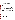wastes in landfills and the use of cyanide-containing road salts. Chlorination treatment of some wastewaters can produce cyanides as a by-product

From 1987 to 1993, according to the Toxics Release Inventory cyanide compound releases to land and water totaled about 1.5 million lbs. These releases were primarily from steel mills and metal heat treating industries. The largest releases occurred in California and Pennsylvania

## **What happens to Cyanide when it is released to the environment?**

 Cyanides are generally not persistent when released to water or soil, and are not likely to accumulate in aquatic life. They rapidly evaporate and are broken down by microbes. They do not bind to soils and may leach to ground water.

#### **How will Cyanide be detected in and removed from my drinking water?**

 The regulation for cyanide became effective in 1992. Between 1993 and 1995, EPA required your water supplier to collect water samples once and analyze them to find out if cyanide is present above 0.2 ppm. If it is present above this level, the system must continue to monitor this contaminant every 3 months.

If contaminant levels are found to be consistently above the MCL, your water supplier must take steps to reduce the amount of cyanide so that it is consistently below that level. The following treatment methods have been approved by EPA for removing cyanide: Ion Exchange, Reverse Osmosis, Chlorine

## **How will I know if Cyanide is in my drinking water?**

CA 0 430,886

 If the levels of cyanide exceed the MCL, the system must notify the public via newspapers, radio, TV and other means. Additional actions, such as providing alternative drinking water supplies, may be required to prevent serious risks to public health

 States Environmental Protection Agency (EPA) This is a factsheet about a chemical that may be found in some public or private drinking water supplies. It may cause health problems if found in amounts greater than the health standard set by the United

#### **Drinking Water Standards:**

MCLG: 0.2 ppm

MCL: 0.2 ppm

## **Cyanide Releases to Water and Land, 1987 to 1993 (in pounds):**

|                | Water   | Land    |  |
|----------------|---------|---------|--|
| <b>TOTALS</b>  | 939,611 | 641,082 |  |
|                |         |         |  |
| Top Ten States |         |         |  |